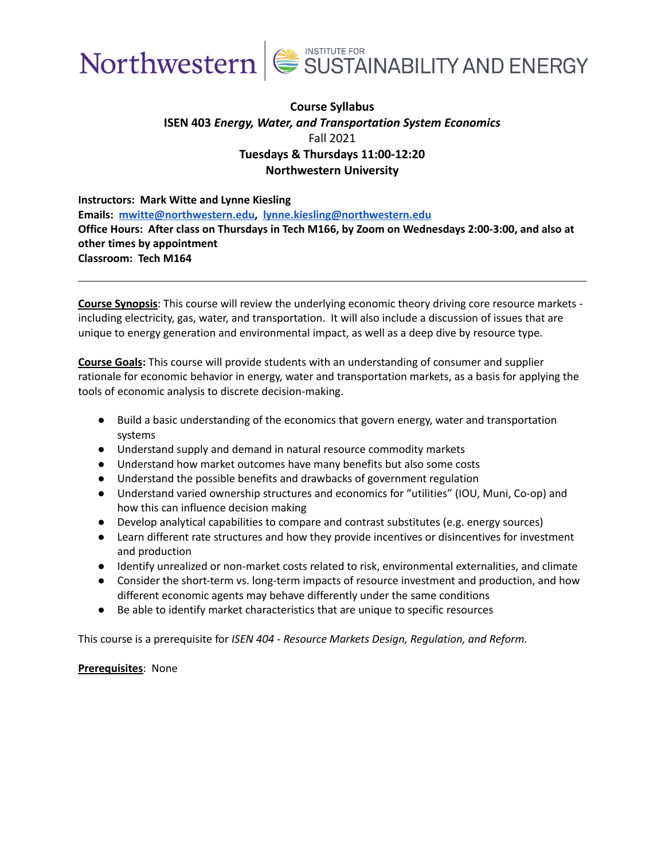



# **Course Syllabus ISEN 403** *Energy, Water, and Transportation System Economics* Fall 2021 **Tuesdays & Thursdays 11:00-12:20 Northwestern University**

**Instructors: Mark Witte and Lynne Kiesling Emails: [mwitte@northwestern.edu,](mailto:mwitte@northwestern.edu) [lynne.kiesling@northwestern.edu](mailto:lynne.kiesling@northwestern.edu) Office Hours: After class on Thursdays in Tech M166, by Zoom on Wednesdays 2:00-3:00, and also at other times by appointment Classroom: Tech M164**

**Course Synopsis**: This course will review the underlying economic theory driving core resource markets including electricity, gas, water, and transportation. It will also include a discussion of issues that are unique to energy generation and environmental impact, as well as a deep dive by resource type.

**Course Goals:** This course will provide students with an understanding of consumer and supplier rationale for economic behavior in energy, water and transportation markets, as a basis for applying the tools of economic analysis to discrete decision-making.

- Build a basic understanding of the economics that govern energy, water and transportation systems
- Understand supply and demand in natural resource commodity markets
- Understand how market outcomes have many benefits but also some costs
- Understand the possible benefits and drawbacks of government regulation
- Understand varied ownership structures and economics for "utilities" (IOU, Muni, Co-op) and how this can influence decision making
- Develop analytical capabilities to compare and contrast substitutes (e.g. energy sources)
- Learn different rate structures and how they provide incentives or disincentives for investment and production
- Identify unrealized or non-market costs related to risk, environmental externalities, and climate
- Consider the short-term vs. long-term impacts of resource investment and production, and how different economic agents may behave differently under the same conditions
- Be able to identify market characteristics that are unique to specific resources

This course is a prerequisite for *ISEN 404 - Resource Markets Design, Regulation, and Reform.*

### **Prerequisites**: None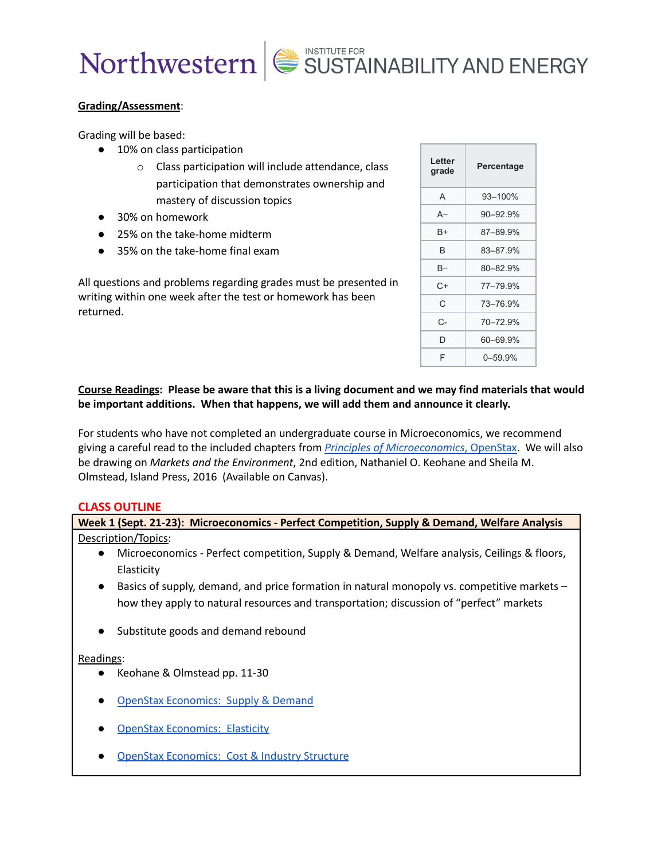# **Grading/Assessment**:

Grading will be based:

- 10% on class participation
	- o Class participation will include attendance, class participation that demonstrates ownership and mastery of discussion topics
- 30% on homework
- 25% on the take-home midterm
- 35% on the take-home final exam

All questions and problems regarding grades must be presented in writing within one week after the test or homework has been returned.

| Letter<br>grade | Percentage |
|-----------------|------------|
| A               | 93-100%    |
| A-              | 90-92.9%   |
| B+              | 87-89.9%   |
| B               | 83-87.9%   |
| B-              | 80-82.9%   |
| C+              | 77-79.9%   |
| С               | 73-76.9%   |
| C-              | 70-72.9%   |
| D               | 60-69.9%   |
| F               | 0–59.9%    |

# Course Readings: Please be aware that this is a living document and we may find materials that would **be important additions. When that happens, we will add them and announce it clearly.**

For students who have not completed an undergraduate course in Microeconomics, we recommend giving a careful read to the included chapters from *Principles of [Microeconomics](https://cnx.org/contents/6i8iXmBj@11.2:JgDXaOLP@11/Introduction)*, OpenStax. We will also be drawing on *Markets and the Environment*, 2nd edition, Nathaniel O. Keohane and Sheila M. Olmstead, Island Press, 2016 (Available on Canvas).

# **CLASS OUTLINE**

| Week 1 (Sept. 21-23): Microeconomics - Perfect Competition, Supply & Demand, Welfare Analysis            |  |
|----------------------------------------------------------------------------------------------------------|--|
| Description/Topics:                                                                                      |  |
| Microeconomics - Perfect competition, Supply & Demand, Welfare analysis, Ceilings & floors,<br>$\bullet$ |  |
| Elasticity                                                                                               |  |
| Basics of supply, demand, and price formation in natural monopoly vs. competitive markets -<br>$\bullet$ |  |
| how they apply to natural resources and transportation; discussion of "perfect" markets                  |  |
| Substitute goods and demand rebound<br>$\bullet$                                                         |  |
| Readings:                                                                                                |  |
| Keohane & Olmstead pp. 11-30<br>$\bullet$                                                                |  |
| <b>OpenStax Economics: Supply &amp; Demand</b><br>$\bullet$                                              |  |
| <b>OpenStax Economics: Elasticity</b><br>$\bullet$                                                       |  |

**OpenStax [Economics:](https://cnx.org/contents/6i8iXmBj@11.2:75YRzeYw@8/Introduction-to-Cost-and-Industry-Structure) Cost & Industry Structure**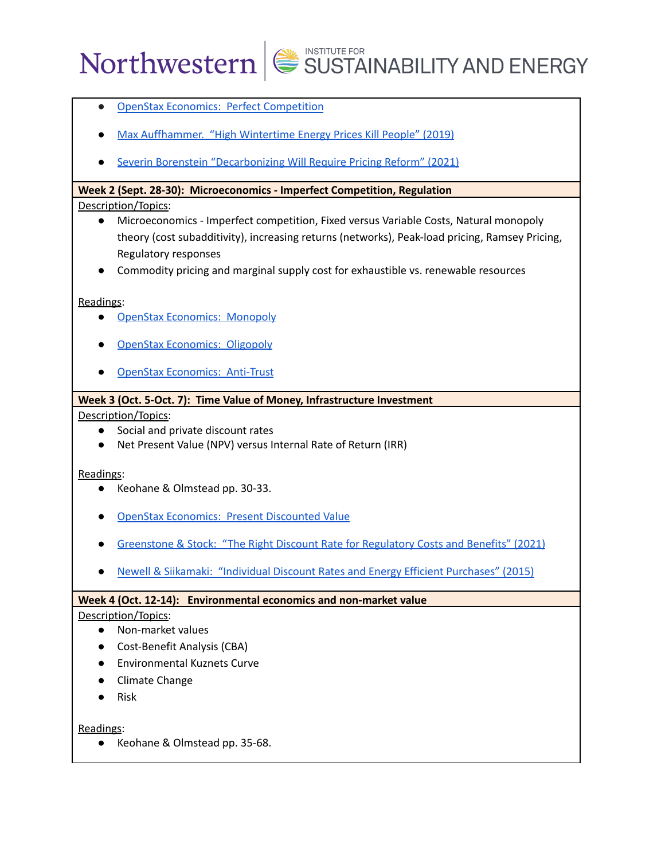- OpenStax Economics: Perfect [Competition](https://cnx.org/contents/6i8iXmBj@11.2:IgQpaXaD@7/Introduction-to-Perfect-Competition)
- Max [Auffhammer.](https://energyathaas.wordpress.com/2019/04/01/high-wintertime-energy-prices-kill-people/) "High Wintertime Energy Prices Kill People" (2019)
- Severin Borenstein ["Decarbonizing](https://energyathaas.wordpress.com/2021/08/16/decarbonization-will-require-pricing-reform/) Will Require Pricing Reform" (2021)

# **Week 2 (Sept. 28-30): Microeconomics - Imperfect Competition, Regulation**

# Description/Topics:

- Microeconomics Imperfect competition, Fixed versus Variable Costs, Natural monopoly theory (cost subadditivity), increasing returns (networks), Peak-load pricing, Ramsey Pricing, Regulatory responses
- Commodity pricing and marginal supply cost for exhaustible vs. renewable resources

# Readings:

- OpenStax [Economics:](https://cnx.org/contents/6i8iXmBj@11.2:WXgRcPaN@10/Introduction-to-a-Monopoly) Monopoly
- OpenStax [Economics:](https://cnx.org/contents/6i8iXmBj@11.2:OcpVKz-j@6/Introduction-to-Monopolistic-Competition-and-Oligopoly) Oligopoly
- **OpenStax [Economics:](https://cnx.org/contents/6i8iXmBj@11.2:UtJZjFyV@6/Introduction-to-Monopoly-and-Antitrust-Policy) Anti-Trust**

# **Week 3 (Oct. 5-Oct. 7): Time Value of Money, Infrastructure Investment**

# Description/Topics:

- Social and private discount rates
- Net Present Value (NPV) versus Internal Rate of Return (IRR)

# Readings:

- Keohane & Olmstead pp. 30-33.
- **OpenStax [Economics:](https://cnx.org/contents/6i8iXmBj@11.2:EOodLrFw@6/Present-Discounted-Value) Present Discounted Value**
- [Greenstone](https://www.wsj.com/articles/the-right-discount-rate-for-regulatory-costs-and-benefits-11614870636) & Stock: "The Right Discount Rate for Regulatory Costs and Benefits" (2021)
- **Newell & Siikamaki: "Individual Discount Rates and Energy Efficient [Purchases"](https://www.nber.org/digest/jun15/individual-discount-rates-and-energy-efficient-purchasing) (2015)**

# **Week 4 (Oct. 12-14): Environmental economics and non-market value**

# Description/Topics:

- Non-market values
- Cost-Benefit Analysis (CBA)
- Environmental Kuznets Curve
- Climate Change
- Risk

Readings:

● Keohane & Olmstead pp. 35-68.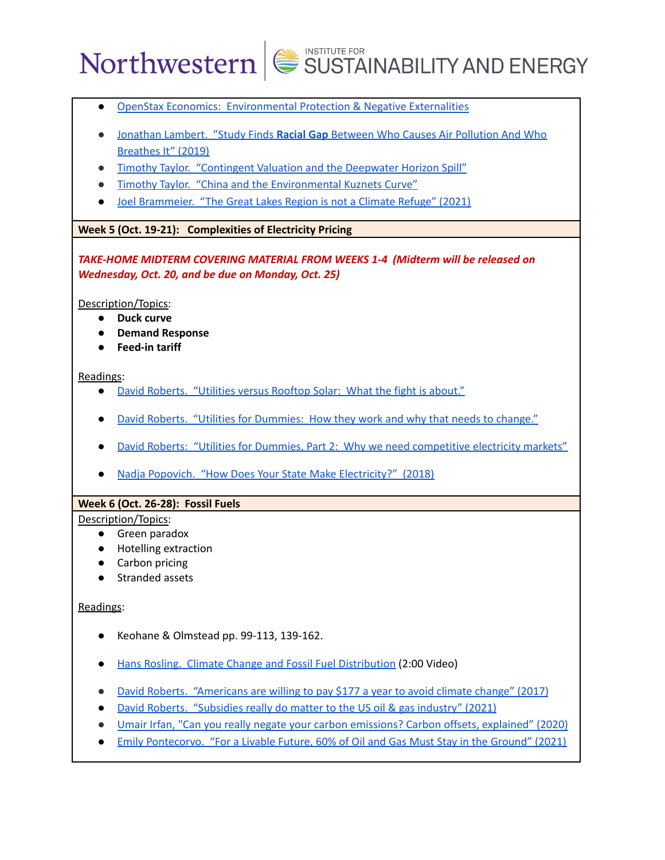- OpenStax Economics: [Environmental](https://cnx.org/contents/6i8iXmBj@11.2:cMC6gCjC@5/Introduction-to-Environmental-Protection-and-Negative-Externalities) Protection & Negative Externalities
- [Jonathan](https://www.npr.org/sections/health-shots/2019/03/11/702348935/study-finds-racial-gap-between-who-causes-air-pollution-and-who-breathes-it) Lambert. "Study Finds **Racial Gap** Between Who Causes Air Pollution And Who [Breathes](https://www.npr.org/sections/health-shots/2019/03/11/702348935/study-finds-racial-gap-between-who-causes-air-pollution-and-who-breathes-it) It" (2019)
- Timothy Taylor. ["Contingent](https://conversableeconomist.blogspot.com/2018/03/contingent-valuation-and-deepwater.html) Valuation and the Deepwater Horizon Spill"
- Timothy Taylor. "China and the [Environmental](https://conversableeconomist.blogspot.com/2013/05/china-and-environmental-kuznets-curve.html) Kuznets Curve"
- Joel [Brammeier.](https://www.bloomberg.com/news/articles/2021-09-16/the-great-lakes-region-is-not-a-climate-refuge?sref=MrKwEPoJ) "The Great Lakes Region is not a Climate Refuge" (2021)

# **Week 5 (Oct. 19-21): Complexities of Electricity Pricing**

*TAKE-HOME MIDTERM COVERING MATERIAL FROM WEEKS 1-4 (Midterm will be released on Wednesday, Oct. 20, and be due on Monday, Oct. 25)*

Description/Topics:

- **● Duck curve**
- **● Demand Response**
- **● Feed-in tariff**

Readings:

- David Roberts. ["Utilities](https://grist.org/climate-energy/utilities-vs-rooftop-solar-what-the-fight-is-about/) versus Rooftop Solar: What the fight is about."
- David Roberts. "Utilities for [Dummies:](https://grist.org/climate-energy/utilities-for-dummies-how-they-work-and-why-that-needs-to-change/) How they work and why that needs to change."
- David Roberts: "Utilities for Dummies, Part 2: Why we need [competitive](https://grist.org/climate-energy/utilities-for-dummies-part-2-why-we-need-competitive-electricity-markets-with-fennecs/) electricity markets"
- Nadja Popovich. "How Does Your State Make [Electricity?"](https://www.nytimes.com/interactive/2018/12/24/climate/how-electricity-generation-changed-in-your-state.html) (2018)

# **Week 6 (Oct. 26-28): Fossil Fuels**

# Description/Topics:

- Green paradox
- Hotelling extraction
- Carbon pricing
- Stranded assets

# Readings:

- Keohane & Olmstead pp. 99-113, 139-162.
- Hans Rosling. Climate Change and Fossil Fuel [Distribution](https://www.youtube.com/watch?v=D0SrAitl9Ow) (2:00 Video)
- David Roberts. ["Americans](https://www.vox.com/energy-and-environment/2017/10/13/16468318/americans-willing-to-pay-climate-change) are willing to pay \$177 a year to avoid climate change" (2017)
- David Roberts. ["Subsidies](https://www.volts.wtf/p/subsidies-really-do-matter-to-the) really do matter to the US oil & gas industry" (2021)
- Umair Irfan, "Can you really negate your carbon [emissions?](https://www.vox.com/2020/2/27/20994118/carbon-offset-climate-change-net-zero-neutral-emissions) Carbon offsets, explained" (2020)
- Emily [Pontecorvo.](https://grist.org/energy/for-a-livable-future-60-of-oil-and-gas-must-stay-in-the-ground/) "For a Livable Future, 60% of Oil and Gas Must Stay in the Ground" (2021)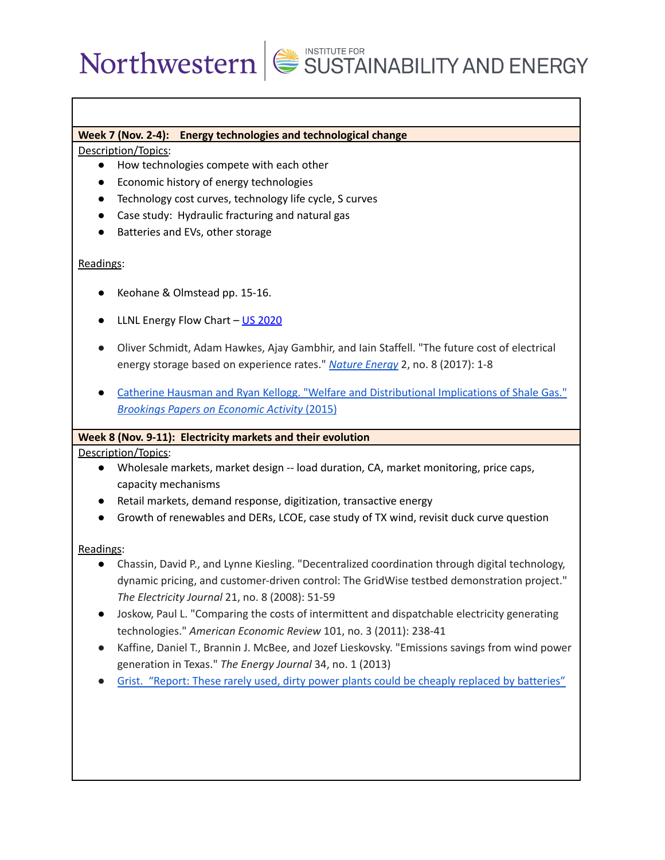# **Week 7 (Nov. 2-4): Energy technologies and technological change**

Description/Topics:

- How technologies compete with each other
- Economic history of energy technologies
- Technology cost curves, technology life cycle, S curves
- Case study: Hydraulic fracturing and natural gas
- Batteries and EVs, other storage

# Readings:

- Keohane & Olmstead pp. 15-16.
- LLNL Energy Flow Chart US [2020](https://flowcharts.llnl.gov/commodities/energy)
- Oliver Schmidt, Adam Hawkes, Ajay Gambhir, and Iain Staffell. "The future cost of electrical energy storage based on experience rates." *[Nature](https://www.nature.com/articles/nenergy2017110) Energy* 2, no. 8 (2017): 1-8
- **Catherine Hausman and Ryan Kellogg. "Welfare and [Distributional](https://www.brookings.edu/bpea-articles/welfare-and-distributional-implications-of-shale-gas/) Implications of Shale Gas."** *[Brookings](https://www.brookings.edu/bpea-articles/welfare-and-distributional-implications-of-shale-gas/) Papers on Economic Activity* (2015)

# **Week 8 (Nov. 9-11): Electricity markets and their evolution**

Description/Topics:

- Wholesale markets, market design -- load duration, CA, market monitoring, price caps, capacity mechanisms
- Retail markets, demand response, digitization, transactive energy
- Growth of renewables and DERs, LCOE, case study of TX wind, revisit duck curve question

# Readings:

- Chassin, David P., and Lynne Kiesling. "Decentralized coordination through digital technology, dynamic pricing, and customer-driven control: The GridWise testbed demonstration project." *The Electricity Journal* 21, no. 8 (2008): 51-59
- Joskow, Paul L. "Comparing the costs of intermittent and dispatchable electricity generating technologies." *American Economic Review* 101, no. 3 (2011): 238-41
- Kaffine, Daniel T., Brannin J. McBee, and Jozef Lieskovsky. "Emissions savings from wind power generation in Texas." *The Energy Journal* 34, no. 1 (2013)
- Grist. "Report: These rarely used, dirty power plants could be cheaply replaced by [batteries"](https://grist.org/energy/report-these-rarely-used-dirty-power-plants-could-be-cheaply-replaced-by-batteries/)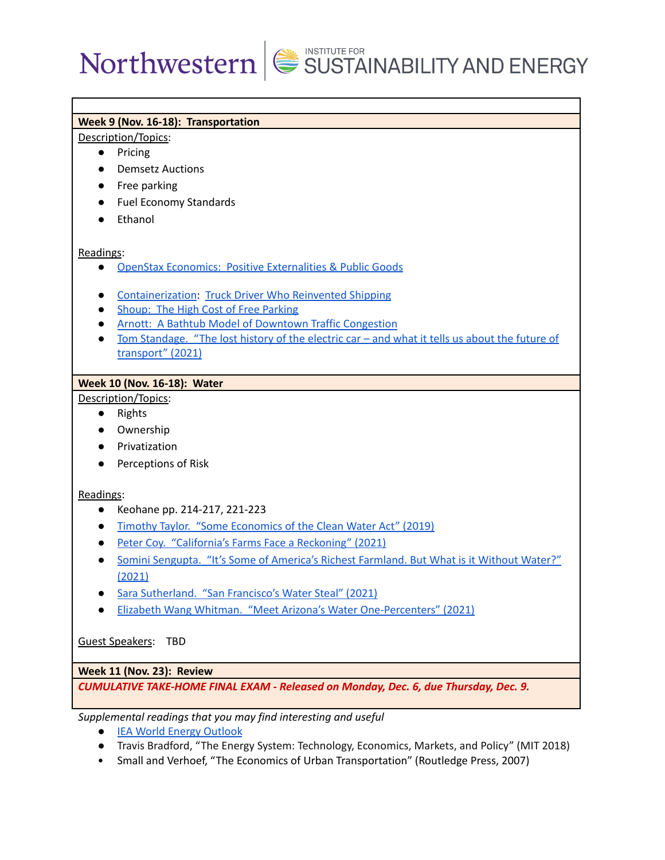# **Week 9 (Nov. 16-18): Transportation**

#### Description/Topics:

- Pricing
- Demsetz Auctions
- Free parking
- Fuel Economy Standards
- Ethanol

### Readings:

- OpenStax Economics: Positive [Externalities](https://cnx.org/contents/6i8iXmBj@11.2:PglCaTFG@5/Introduction-to-Positive-Externalities-and-Public-Goods) & Public Goods
- [Containerization](https://www.youtube.com/watch?v=F-ZskaqBshs): Truck Driver Who [Reinvented](https://hbswk.hbs.edu/item/the-truck-driver-who-reinvented-shipping) Shipping
- Shoup: The High Cost of Free [Parking](https://www.vox.com/2014/6/27/5849280/why-free-parking-is-bad-for-everyone)
- Arnott: A Bathtub Model of Downtown Traffic [Congestion](https://www.accessmagazine.org/spring-2015/a-bathtub-model-of-downtown-traffic-congestion/)
- Tom [Standage.](https://www.theguardian.com/technology/2021/aug/03/lost-history-electric-car-future-transport) "The lost history of the electric car and what it tells us about the future of [transport"](https://www.theguardian.com/technology/2021/aug/03/lost-history-electric-car-future-transport) (2021)

# **Week 10 (Nov. 16-18): Water**

# Description/Topics:

- Rights
- Ownership
- Privatization
- Perceptions of Risk

# Readings:

- Keohane pp. 214-217, 221-223
- Timothy Taylor. "Some [Economics](https://conversableeconomist.blogspot.com/2019/11/some-economics-of-clean-water-act.html) of the Clean Water Act" (2019)
- Peter Coy. ["California's](https://www.nytimes.com/2021/09/08/opinion/californias-drought-farms.html) Farms Face a Reckoning" (2021)
- Somini Sengupta. "It's Some of America's Richest [Farmland.](https://www.nytimes.com/2021/06/28/climate/california-drought-farming.html) But What is it Without Water?" [\(2021\)](https://www.nytimes.com/2021/06/28/climate/california-drought-farming.html)
- Sara [Sutherland.](https://www.milkenreview.org/articles/san-franciscos-water-steal) "San Francisco's Water Steal" (2021)
- Elizabeth Wang Whitman. "Meet Arizona's Water [One-Percenters"](https://www.theguardian.com/us-news/2021/apr/05/arizona-water-one-percenters) (2021)

# Guest Speakers: TBD

# **Week 11 (Nov. 23): Review**

*CUMULATIVE TAKE-HOME FINAL EXAM - Released on Monday, Dec. 6, due Thursday, Dec. 9.*

*Supplemental readings that you may find interesting and useful*

- IEA World Energy [Outlook](https://www.iea.org/topics/world-energy-outlook)
- Travis Bradford, "The Energy System: Technology, Economics, Markets, and Policy" (MIT 2018)
- Small and Verhoef, "The Economics of Urban Transportation" (Routledge Press, 2007)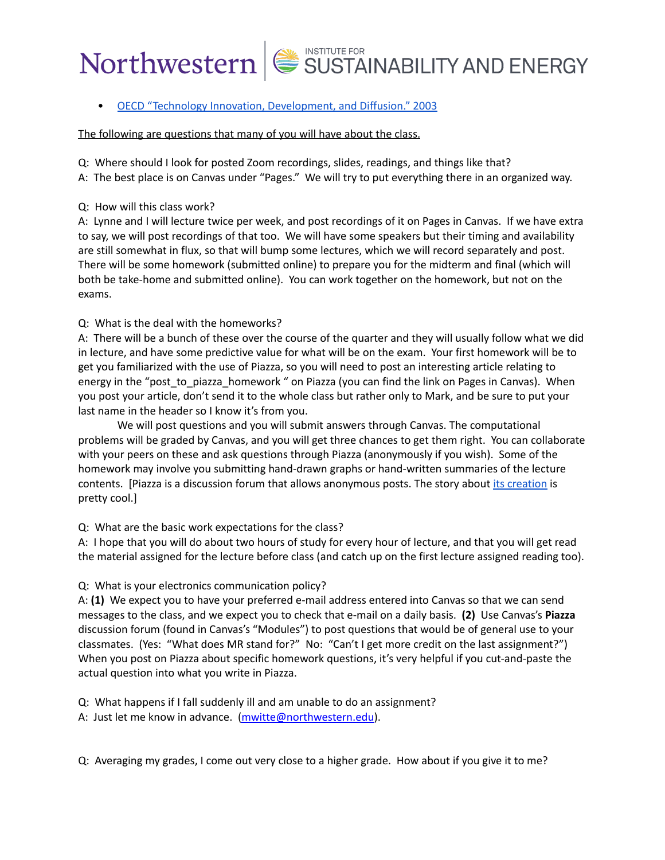• OECD "Technology Innovation, [Development,](https://www.oecd.org/env/cc/2956490.pdf) and Diffusion." 2003

### The following are questions that many of you will have about the class.

Q: Where should I look for posted Zoom recordings, slides, readings, and things like that?

- A: The best place is on Canvas under "Pages." We will try to put everything there in an organized way.
- Q: How will this class work?

A: Lynne and I will lecture twice per week, and post recordings of it on Pages in Canvas. If we have extra to say, we will post recordings of that too. We will have some speakers but their timing and availability are still somewhat in flux, so that will bump some lectures, which we will record separately and post. There will be some homework (submitted online) to prepare you for the midterm and final (which will both be take-home and submitted online). You can work together on the homework, but not on the exams.

# Q: What is the deal with the homeworks?

A: There will be a bunch of these over the course of the quarter and they will usually follow what we did in lecture, and have some predictive value for what will be on the exam. Your first homework will be to get you familiarized with the use of Piazza, so you will need to post an interesting article relating to energy in the "post to piazza homework " on Piazza (you can find the link on Pages in Canvas). When you post your article, don't send it to the whole class but rather only to Mark, and be sure to put your last name in the header so I know it's from you.

We will post questions and you will submit answers through Canvas. The computational problems will be graded by Canvas, and you will get three chances to get them right. You can collaborate with your peers on these and ask questions through Piazza (anonymously if you wish). Some of the homework may involve you submitting hand-drawn graphs or hand-written summaries of the lecture contents. [Piazza is a discussion forum that allows anonymous posts. The story about its [creation](https://www.wbur.org/npr/454970591/app-allows-shy-students-to-ask-questions-anonymously) is pretty cool.]

# Q: What are the basic work expectations for the class?

A: I hope that you will do about two hours of study for every hour of lecture, and that you will get read the material assigned for the lecture before class (and catch up on the first lecture assigned reading too).

# Q: What is your electronics communication policy?

A: **(1)** We expect you to have your preferred e-mail address entered into Canvas so that we can send messages to the class, and we expect you to check that e-mail on a daily basis. **(2)** Use Canvas's **Piazza** discussion forum (found in Canvas's "Modules") to post questions that would be of general use to your classmates. (Yes: "What does MR stand for?" No: "Can't I get more credit on the last assignment?") When you post on Piazza about specific homework questions, it's very helpful if you cut-and-paste the actual question into what you write in Piazza.

Q: What happens if I fall suddenly ill and am unable to do an assignment?

A: Just let me know in advance. [\(mwitte@northwestern.edu\)](mailto:mwitte@northwestern.edu).

Q: Averaging my grades, I come out very close to a higher grade. How about if you give it to me?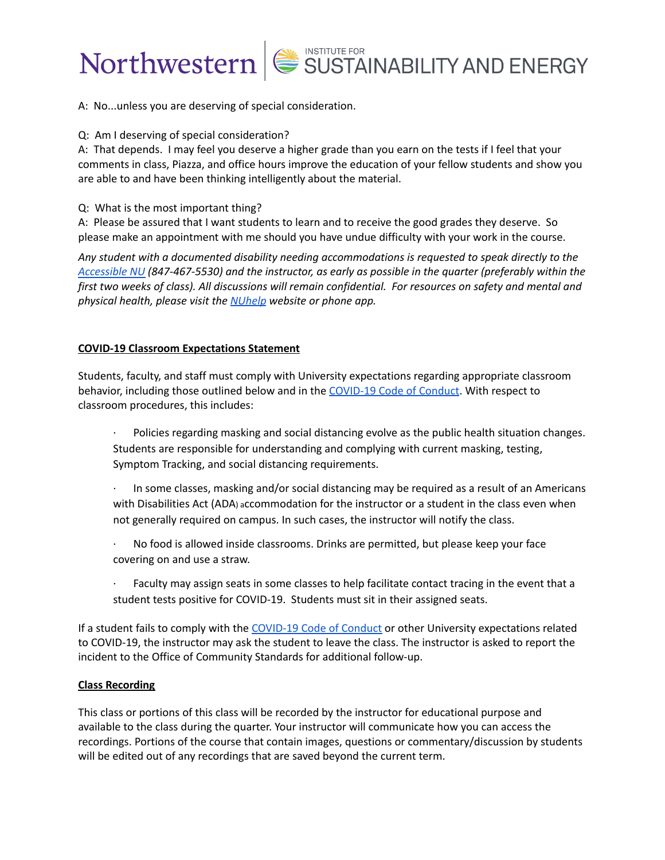



A: No...unless you are deserving of special consideration.

### Q: Am I deserving of special consideration?

A: That depends. I may feel you deserve a higher grade than you earn on the tests if I feel that your comments in class, Piazza, and office hours improve the education of your fellow students and show you are able to and have been thinking intelligently about the material.

### Q: What is the most important thing?

A: Please be assured that I want students to learn and to receive the good grades they deserve. So please make an appointment with me should you have undue difficulty with your work in the course.

*Any student with a documented disability needing accommodations is requested to speak directly to the [Accessible](http://www.northwestern.edu/accessiblenu/) NU (847-467-5530) and the instructor, as early as possible in the quarter (preferably within the* first two weeks of class). All discussions will remain confidential. For resources on safety and mental and *physical health, please visit the [NUhelp](https://www.northwestern.edu/nuhelp/) website or phone app.*

# **COVID-19 Classroom Expectations Statement**

Students, faculty, and staff must comply with University expectations regarding appropriate classroom behavior, including those outlined below and in the [COVID-19](https://www.northwestern.edu/communitystandards/about-us/northwestern-university-student-expectations-covid-19-code-of-conduct.html) Code of Conduct. With respect to classroom procedures, this includes:

· Policies regarding masking and social distancing evolve as the public health situation changes. Students are responsible for understanding and complying with current masking, testing, Symptom Tracking, and social distancing requirements.

In some classes, masking and/or social distancing may be required as a result of an Americans with Disabilities Act (ADA) accommodation for the instructor or a student in the class even when not generally required on campus. In such cases, the instructor will notify the class.

- · No food is allowed inside classrooms. Drinks are permitted, but please keep your face covering on and use a straw.
- Faculty may assign seats in some classes to help facilitate contact tracing in the event that a student tests positive for COVID-19. Students must sit in their assigned seats.

If a student fails to comply with the [COVID-19](https://www.northwestern.edu/communitystandards/about-us/northwestern-university-student-expectations-covid-19-code-of-conduct.html) Code of Conduct or other University expectations related to COVID-19, the instructor may ask the student to leave the class. The instructor is asked to report the incident to the Office of Community Standards for additional follow-up.

### **Class Recording**

This class or portions of this class will be recorded by the instructor for educational purpose and available to the class during the quarter. Your instructor will communicate how you can access the recordings. Portions of the course that contain images, questions or commentary/discussion by students will be edited out of any recordings that are saved beyond the current term.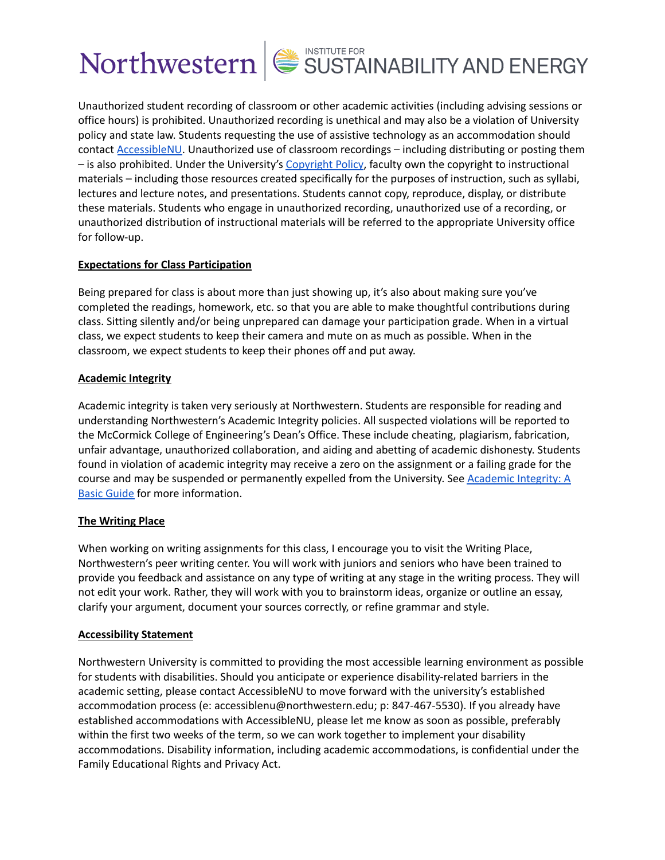

Unauthorized student recording of classroom or other academic activities (including advising sessions or office hours) is prohibited. Unauthorized recording is unethical and may also be a violation of University policy and state law. Students requesting the use of assistive technology as an accommodation should contact [AccessibleNU.](https://www.northwestern.edu/accessiblenu/) Unauthorized use of classroom recordings – including distributing or posting them – is also prohibited. Under the University's [Copyright](https://www.invo.northwestern.edu/invention-disclosure/policies-forms/copyright-policy/) Policy, faculty own the copyright to instructional materials – including those resources created specifically for the purposes of instruction, such as syllabi, lectures and lecture notes, and presentations. Students cannot copy, reproduce, display, or distribute these materials. Students who engage in unauthorized recording, unauthorized use of a recording, or unauthorized distribution of instructional materials will be referred to the appropriate University office for follow-up.

# **Expectations for Class Participation**

Being prepared for class is about more than just showing up, it's also about making sure you've completed the readings, homework, etc. so that you are able to make thoughtful contributions during class. Sitting silently and/or being unprepared can damage your participation grade. When in a virtual class, we expect students to keep their camera and mute on as much as possible. When in the classroom, we expect students to keep their phones off and put away.

# **Academic Integrity**

Academic integrity is taken very seriously at Northwestern. Students are responsible for reading and understanding Northwestern's Academic Integrity policies. All suspected violations will be reported to the McCormick College of Engineering's Dean's Office. These include cheating, plagiarism, fabrication, unfair advantage, unauthorized collaboration, and aiding and abetting of academic dishonesty. Students found in violation of academic integrity may receive a zero on the assignment or a failing grade for the course and may be suspended or permanently expelled from the University. See [Academic](https://www.northwestern.edu/provost/policies/academic-integrity/Academic-Integrity-Guide-August-2019.pdf) Integrity: A Basic [Guide](https://www.northwestern.edu/provost/policies/academic-integrity/Academic-Integrity-Guide-August-2019.pdf) for more information.

# **The Writing Place**

When working on writing assignments for this class, I encourage you to visit the Writing Place, Northwestern's peer writing center. You will work with juniors and seniors who have been trained to provide you feedback and assistance on any type of writing at any stage in the writing process. They will not edit your work. Rather, they will work with you to brainstorm ideas, organize or outline an essay, clarify your argument, document your sources correctly, or refine grammar and style.

# **Accessibility Statement**

Northwestern University is committed to providing the most accessible learning environment as possible for students with disabilities. Should you anticipate or experience disability-related barriers in the academic setting, please contact AccessibleNU to move forward with the university's established accommodation process (e: accessiblenu@northwestern.edu; p: 847-467-5530). If you already have established accommodations with AccessibleNU, please let me know as soon as possible, preferably within the first two weeks of the term, so we can work together to implement your disability accommodations. Disability information, including academic accommodations, is confidential under the Family Educational Rights and Privacy Act.